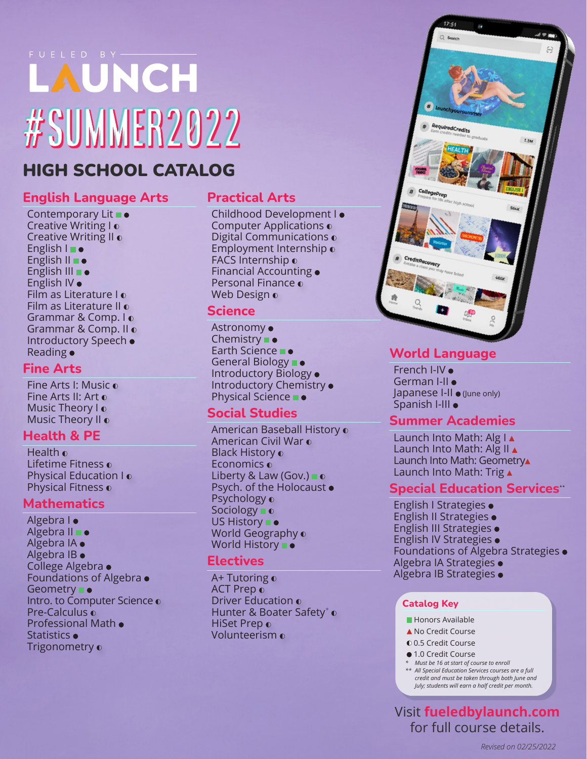# FUELED BY #Summer2022

## HIGH SCHOOL CATALOG

#### **English Language Arts**

Contemporary Lit  $\blacksquare$ Creative Writing I o Creative Writing II o English I English II **·** English III **.** English IV Film as Literature I Film as Literature II  $\odot$ Grammar & Comp. I Grammar & Comp. II Introductory Speech Reading

#### **Fine Arts**

Fine Arts I: Music Fine Arts II: Art Music Theory I o Music Theory II o

#### **Health & PE**

Health o Lifetime Fitness o Physical Education I Physical Fitness o

#### **Mathematics**

Algebra I · Algebra II **.** Algebra IA Algebra IB College Algebra Foundations of Algebra Geometry **B** • Intro. to Computer Science o Pre-Calculus o Professional Math Statistics • Trigonometry o

#### **Practical Arts**

Childhood Development I Computer Applications Digital Communications o Employment Internship FACS Internship o Financial Accounting Personal Finance Web Design o

#### **Science**

Astronomy Chemistry  $\bullet$ Earth Science **De** General Biology  $\blacksquare$ Introductory Biology Introductory Chemistry Physical Science **De** 

#### **Social Studies**

American Baseball History American Civil War Black History o Economics o Liberty & Law (Gov.)  $\blacksquare$   $\lozenge$ Psych. of the Holocaust • Psychology o Sociology o US History  $\blacksquare$ World Geography o World History **D** 

#### **Electives**

A+ Tutoring o **ACT Prep o** Driver Education Hunter & Boater Safety*\** HiSet Prep o Volunteerism



#### **World Language**

French I-IV German I-II · Japanese I-II ● (June only) Spanish I-III

#### **Summer Academies**

Launch Into Math: Alg I Launch Into Math: Alg II A Launch Into Math: Geometry Launch Into Math: Trig  $\triangle$ 

#### **Special Education Services\*\***

English I Strategies English II Strategies English III Strategies English IV Strategies Foundations of Algebra Strategies Algebra IA Strategies Algebra IB Strategies

#### **Catalog Key**

- **Honors Available**
- ▲ No Credit Course
- 0.5 Credit Course
- 1.0 Credit Course
- *\* Must be 16 at start of course to enroll \*\* All Special Education Services courses are a full credit and must be taken through both June and July; students will earn a half credit per month.*

Visit **fueledbylaunch.com** for full course details.